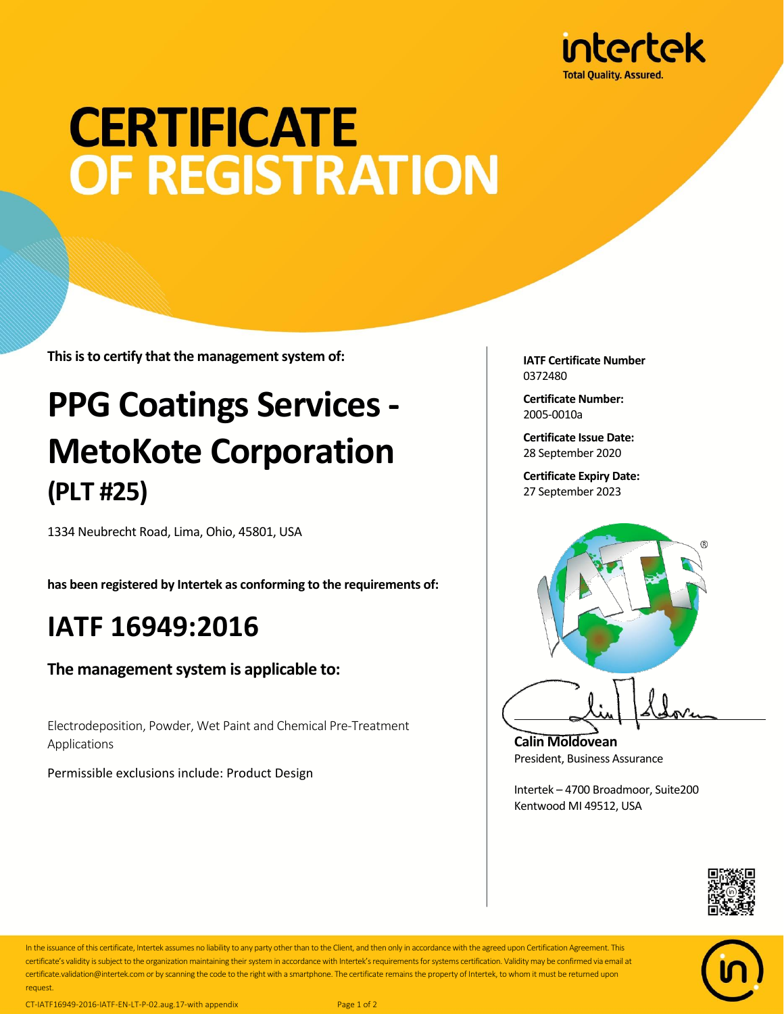

# **CERTIFICATE OF REGISTRATION**

**This is to certify that the management system of:**

### **PPG Coatings Services - MetoKote Corporation (PLT #25)**

1334 Neubrecht Road, Lima, Ohio, 45801, USA

**has been registered by Intertek as conforming to the requirements of:**

#### **IATF 16949:2016**

**The management system is applicable to:**

Electrodeposition, Powder, Wet Paint and Chemical Pre-Treatment Applications

Permissible exclusions include: Product Design

**IATF Certificate Number** 0372480

**Certificate Number:** 2005-0010a

**Certificate Issue Date:** 28 September 2020

**Certificate Expiry Date:** 27 September 2023



**Calin Moldovean** President, Business Assurance

Intertek – 4700 Broadmoor, Suite200 Kentwood MI 49512, USA





In the issuance of this certificate, Intertek assumes no liability to any party other than to the Client, and then only in accordance with the agreed upon Certification Agreement. This certificate's validity is subject to the organization maintaining their system in accordance with Intertek's requirements for systems certification. Validity may be confirmed via email at certificate.validation@intertek.com or by scanning the code to the right with a smartphone. The certificate remains the property of Intertek, to whom it must be returned upon request.

CT-IATF16949-2016-IATF-EN-LT-P-02.aug.17-with appendix Page 1 of 2